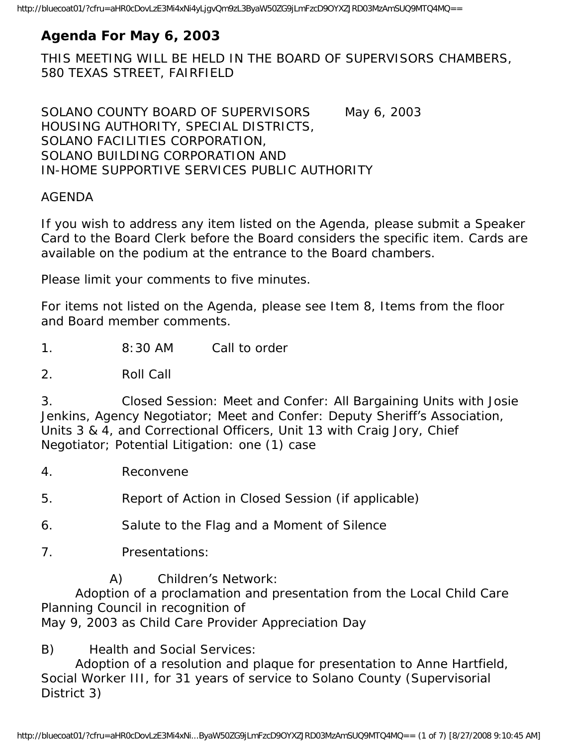## **Agenda For May 6, 2003**

THIS MEETING WILL BE HELD IN THE BOARD OF SUPERVISORS CHAMBERS, 580 TEXAS STREET, FAIRFIELD

SOLANO COUNTY BOARD OF SUPERVISORS May 6, 2003 HOUSING AUTHORITY, SPECIAL DISTRICTS, SOLANO FACILITIES CORPORATION, SOLANO BUILDING CORPORATION AND IN-HOME SUPPORTIVE SERVICES PUBLIC AUTHORITY

#### AGENDA

If you wish to address any item listed on the Agenda, please submit a Speaker Card to the Board Clerk before the Board considers the specific item. Cards are available on the podium at the entrance to the Board chambers.

Please limit your comments to five minutes.

For items not listed on the Agenda, please see Item 8, Items from the floor and Board member comments.

1. 8:30 AM Call to order

2. Roll Call

3. Closed Session: Meet and Confer: All Bargaining Units with Josie Jenkins, Agency Negotiator; Meet and Confer: Deputy Sheriff's Association, Units 3 & 4, and Correctional Officers, Unit 13 with Craig Jory, Chief Negotiator; Potential Litigation: one (1) case

4. Reconvene

5. Report of Action in Closed Session (if applicable)

6. Salute to the Flag and a Moment of Silence

7. Presentations:

A) Children's Network:

 Adoption of a proclamation and presentation from the Local Child Care Planning Council in recognition of May 9, 2003 as Child Care Provider Appreciation Day

B) Health and Social Services:

 Adoption of a resolution and plaque for presentation to Anne Hartfield, Social Worker III, for 31 years of service to Solano County (Supervisorial District 3)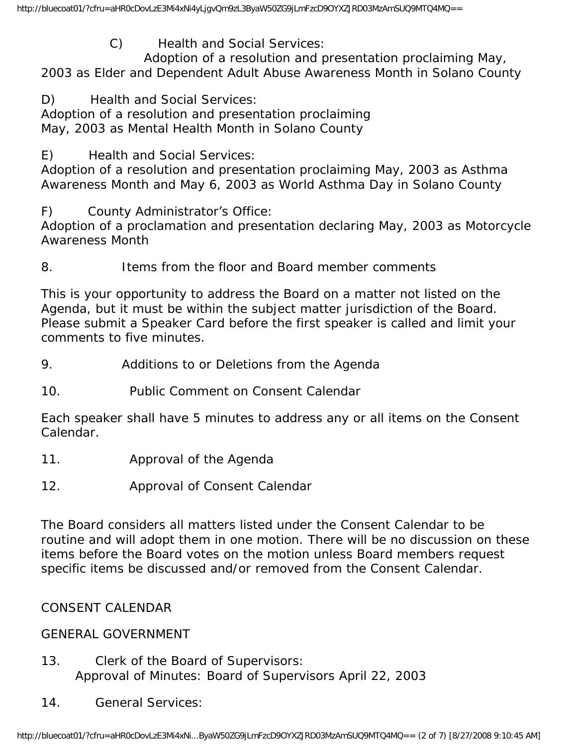### C) Health and Social Services:

 Adoption of a resolution and presentation proclaiming May, 2003 as Elder and Dependent Adult Abuse Awareness Month in Solano County

D) Health and Social Services:

Adoption of a resolution and presentation proclaiming May, 2003 as Mental Health Month in Solano County

E) Health and Social Services:

Adoption of a resolution and presentation proclaiming May, 2003 as Asthma Awareness Month and May 6, 2003 as World Asthma Day in Solano County

F) County Administrator's Office:

Adoption of a proclamation and presentation declaring May, 2003 as Motorcycle Awareness Month

8. Items from the floor and Board member comments

This is your opportunity to address the Board on a matter not listed on the Agenda, but it must be within the subject matter jurisdiction of the Board. Please submit a Speaker Card before the first speaker is called and limit your comments to five minutes.

- 9. Additions to or Deletions from the Agenda
- 10. Public Comment on Consent Calendar

Each speaker shall have 5 minutes to address any or all items on the Consent Calendar.

- 11. Approval of the Agenda
- 12. Approval of Consent Calendar

The Board considers all matters listed under the Consent Calendar to be routine and will adopt them in one motion. There will be no discussion on these items before the Board votes on the motion unless Board members request specific items be discussed and/or removed from the Consent Calendar.

### CONSENT CALENDAR

### GENERAL GOVERNMENT

- 13. Clerk of the Board of Supervisors: Approval of Minutes: Board of Supervisors April 22, 2003
- 14. General Services: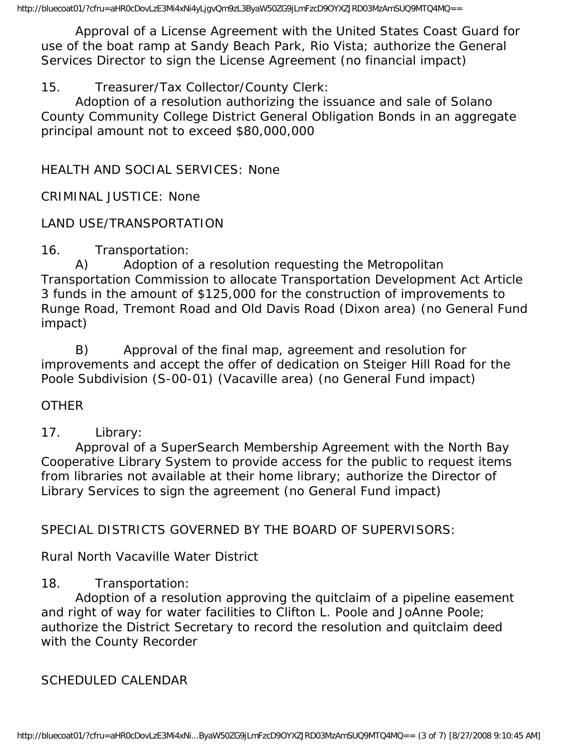http://bluecoat01/?cfru=aHR0cDovLzE3Mi4xNi4yLjgvQm9zL3ByaW50ZG9jLmFzcD9OYXZJRD03MzAmSUQ9MTQ4MQ==

 Approval of a License Agreement with the United States Coast Guard for use of the boat ramp at Sandy Beach Park, Rio Vista; authorize the General Services Director to sign the License Agreement (no financial impact)

15. Treasurer/Tax Collector/County Clerk:

 Adoption of a resolution authorizing the issuance and sale of Solano County Community College District General Obligation Bonds in an aggregate principal amount not to exceed \$80,000,000

HEALTH AND SOCIAL SERVICES: None

CRIMINAL JUSTICE: None

# LAND USE/TRANSPORTATION

# 16. Transportation:

 A) Adoption of a resolution requesting the Metropolitan Transportation Commission to allocate Transportation Development Act Article 3 funds in the amount of \$125,000 for the construction of improvements to Runge Road, Tremont Road and Old Davis Road (Dixon area) (no General Fund impact)

 B) Approval of the final map, agreement and resolution for improvements and accept the offer of dedication on Steiger Hill Road for the Poole Subdivision (S-00-01) (Vacaville area) (no General Fund impact)

### **OTHER**

### 17. Library:

 Approval of a SuperSearch Membership Agreement with the North Bay Cooperative Library System to provide access for the public to request items from libraries not available at their home library; authorize the Director of Library Services to sign the agreement (no General Fund impact)

SPECIAL DISTRICTS GOVERNED BY THE BOARD OF SUPERVISORS:

Rural North Vacaville Water District

### 18. Transportation:

 Adoption of a resolution approving the quitclaim of a pipeline easement and right of way for water facilities to Clifton L. Poole and JoAnne Poole; authorize the District Secretary to record the resolution and quitclaim deed with the County Recorder

### SCHEDULED CALENDAR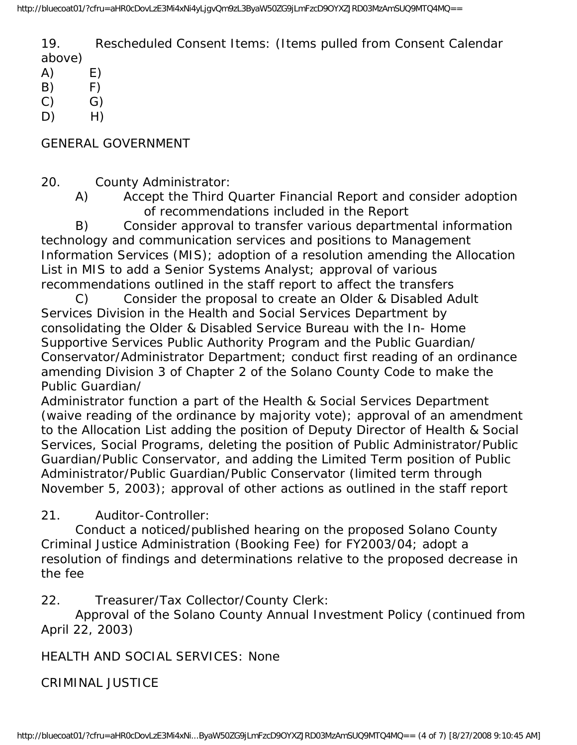19. Rescheduled Consent Items: (Items pulled from Consent Calendar above)

| awuvu |    |
|-------|----|
| A)    | E) |
| B)    | F) |
| C)    | G) |

 $D)$  H)

GENERAL GOVERNMENT

20. County Administrator:

 A) Accept the Third Quarter Financial Report and consider adoption of recommendations included in the Report

 B) Consider approval to transfer various departmental information technology and communication services and positions to Management Information Services (MIS); adoption of a resolution amending the Allocation List in MIS to add a Senior Systems Analyst; approval of various recommendations outlined in the staff report to affect the transfers

 C) Consider the proposal to create an Older & Disabled Adult Services Division in the Health and Social Services Department by consolidating the Older & Disabled Service Bureau with the In- Home Supportive Services Public Authority Program and the Public Guardian/ Conservator/Administrator Department; conduct first reading of an ordinance amending Division 3 of Chapter 2 of the Solano County Code to make the Public Guardian/

Administrator function a part of the Health & Social Services Department (waive reading of the ordinance by majority vote); approval of an amendment to the Allocation List adding the position of Deputy Director of Health & Social Services, Social Programs, deleting the position of Public Administrator/Public Guardian/Public Conservator, and adding the Limited Term position of Public Administrator/Public Guardian/Public Conservator (limited term through November 5, 2003); approval of other actions as outlined in the staff report

21. Auditor-Controller:

 Conduct a noticed/published hearing on the proposed Solano County Criminal Justice Administration (Booking Fee) for FY2003/04; adopt a resolution of findings and determinations relative to the proposed decrease in the fee

22. Treasurer/Tax Collector/County Clerk:

 Approval of the Solano County Annual Investment Policy (continued from April 22, 2003)

HEALTH AND SOCIAL SERVICES: None

CRIMINAL JUSTICE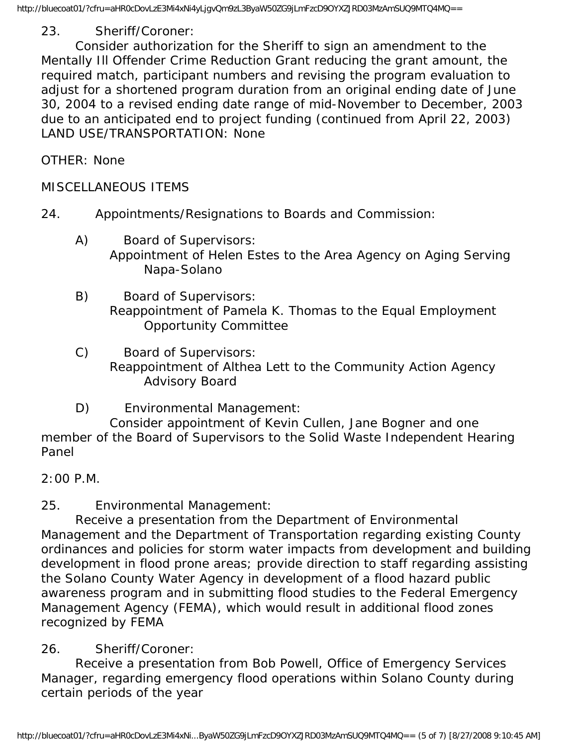http://bluecoat01/?cfru=aHR0cDovLzE3Mi4xNi4yLjgvQm9zL3ByaW50ZG9jLmFzcD9OYXZJRD03MzAmSUQ9MTQ4MQ==

### 23. Sheriff/Coroner:

 Consider authorization for the Sheriff to sign an amendment to the Mentally Ill Offender Crime Reduction Grant reducing the grant amount, the required match, participant numbers and revising the program evaluation to adjust for a shortened program duration from an original ending date of June 30, 2004 to a revised ending date range of mid-November to December, 2003 due to an anticipated end to project funding (continued from April 22, 2003) LAND USE/TRANSPORTATION: None

OTHER: None

#### MISCELLANEOUS ITEMS

- 24. Appointments/Resignations to Boards and Commission:
	- A) Board of Supervisors: Appointment of Helen Estes to the Area Agency on Aging Serving Napa-Solano
	- B) Board of Supervisors: Reappointment of Pamela K. Thomas to the Equal Employment Opportunity Committee
	- C) Board of Supervisors: Reappointment of Althea Lett to the Community Action Agency Advisory Board
	- D) Environmental Management:

 Consider appointment of Kevin Cullen, Jane Bogner and one member of the Board of Supervisors to the Solid Waste Independent Hearing Panel

2:00 P.M.

### 25. Environmental Management:

 Receive a presentation from the Department of Environmental Management and the Department of Transportation regarding existing County ordinances and policies for storm water impacts from development and building development in flood prone areas; provide direction to staff regarding assisting the Solano County Water Agency in development of a flood hazard public awareness program and in submitting flood studies to the Federal Emergency Management Agency (FEMA), which would result in additional flood zones recognized by FEMA

### 26. Sheriff/Coroner:

 Receive a presentation from Bob Powell, Office of Emergency Services Manager, regarding emergency flood operations within Solano County during certain periods of the year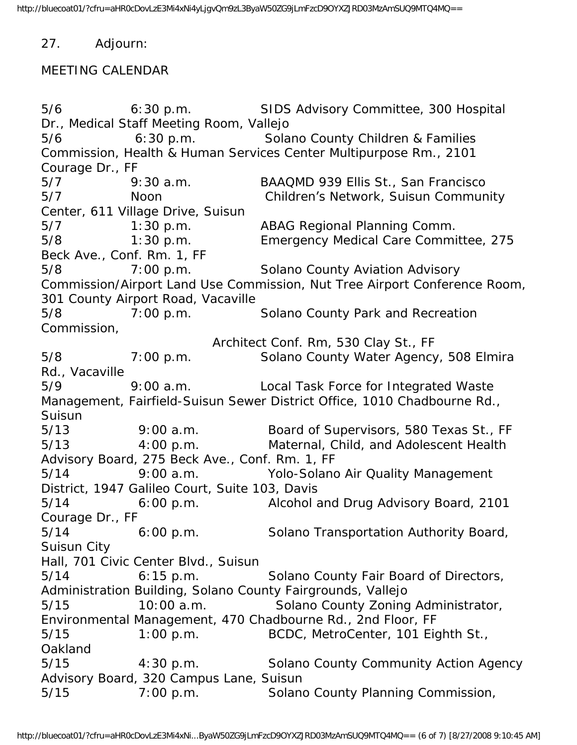#### 27. Adjourn:

#### MEETING CALENDAR

5/6 6:30 p.m. SIDS Advisory Committee, 300 Hospital Dr., Medical Staff Meeting Room, Vallejo 5/6 6:30 p.m. Solano County Children & Families Commission, Health & Human Services Center Multipurpose Rm., 2101 Courage Dr., FF 5/7 9:30 a.m. BAAQMD 939 Ellis St., San Francisco 5/7 Noon Children's Network, Suisun Community Center, 611 Village Drive, Suisun 5/7 1:30 p.m. ABAG Regional Planning Comm. 5/8 1:30 p.m. Emergency Medical Care Committee, 275 Beck Ave., Conf. Rm. 1, FF 5/8 7:00 p.m. Solano County Aviation Advisory Commission/Airport Land Use Commission, Nut Tree Airport Conference Room, 301 County Airport Road, Vacaville 5/8 7:00 p.m. Solano County Park and Recreation Commission, Architect Conf. Rm, 530 Clay St., FF 5/8 7:00 p.m. Solano County Water Agency, 508 Elmira Rd., Vacaville 5/9 9:00 a.m. Local Task Force for Integrated Waste Management, Fairfield-Suisun Sewer District Office, 1010 Chadbourne Rd., Suisun 5/13 9:00 a.m. Board of Supervisors, 580 Texas St., FF 5/13 4:00 p.m. Maternal, Child, and Adolescent Health Advisory Board, 275 Beck Ave., Conf. Rm. 1, FF 5/14 9:00 a.m. Yolo-Solano Air Quality Management District, 1947 Galileo Court, Suite 103, Davis 5/14 6:00 p.m. Alcohol and Drug Advisory Board, 2101 Courage Dr., FF 5/14 6:00 p.m. Solano Transportation Authority Board, Suisun City Hall, 701 Civic Center Blvd., Suisun 5/14 6:15 p.m. Solano County Fair Board of Directors, Administration Building, Solano County Fairgrounds, Vallejo 5/15 10:00 a.m. Solano County Zoning Administrator, Environmental Management, 470 Chadbourne Rd., 2nd Floor, FF 5/15 1:00 p.m. BCDC, MetroCenter, 101 Eighth St., Oakland 5/15 4:30 p.m. Solano County Community Action Agency Advisory Board, 320 Campus Lane, Suisun 5/15 7:00 p.m. Solano County Planning Commission,